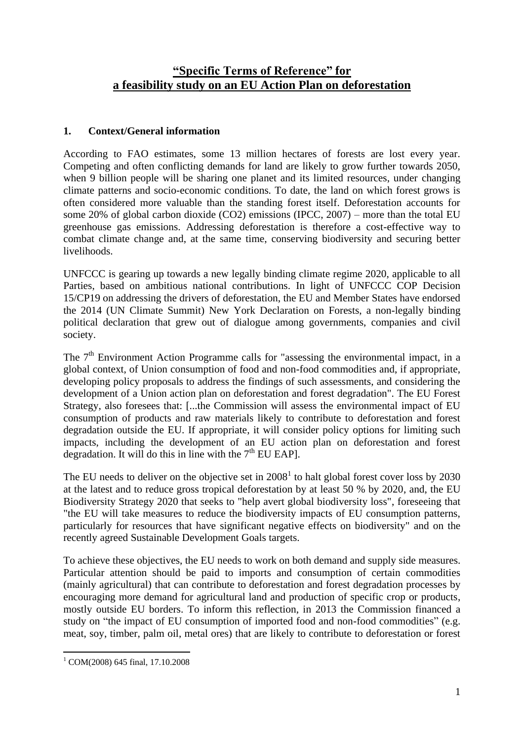# **"Specific Terms of Reference" for a feasibility study on an EU Action Plan on deforestation**

### **1. Context/General information**

According to FAO estimates, some 13 million hectares of forests are lost every year. Competing and often conflicting demands for land are likely to grow further towards 2050, when 9 billion people will be sharing one planet and its limited resources, under changing climate patterns and socio-economic conditions. To date, the land on which forest grows is often considered more valuable than the standing forest itself. Deforestation accounts for some 20% of global carbon dioxide (CO2) emissions (IPCC, 2007) – more than the total EU greenhouse gas emissions. Addressing deforestation is therefore a cost-effective way to combat climate change and, at the same time, conserving biodiversity and securing better livelihoods.

UNFCCC is gearing up towards a new legally binding climate regime 2020, applicable to all Parties, based on ambitious national contributions. In light of UNFCCC COP Decision 15/CP19 on addressing the drivers of deforestation, the EU and Member States have endorsed the 2014 (UN Climate Summit) New York Declaration on Forests, a non-legally binding political declaration that grew out of dialogue among governments, companies and civil society.

The  $7<sup>th</sup>$  Environment Action Programme calls for "assessing the environmental impact, in a global context, of Union consumption of food and non-food commodities and, if appropriate, developing policy proposals to address the findings of such assessments, and considering the development of a Union action plan on deforestation and forest degradation". The EU Forest Strategy, also foresees that: [...the Commission will assess the environmental impact of EU consumption of products and raw materials likely to contribute to deforestation and forest degradation outside the EU. If appropriate, it will consider policy options for limiting such impacts, including the development of an EU action plan on deforestation and forest degradation. It will do this in line with the  $7<sup>th</sup>$  EU EAP].

The EU needs to deliver on the objective set in  $2008<sup>1</sup>$  to halt global forest cover loss by 2030 at the latest and to reduce gross tropical deforestation by at least 50 % by 2020, and, the EU Biodiversity Strategy 2020 that seeks to "help avert global biodiversity loss", foreseeing that "the EU will take measures to reduce the biodiversity impacts of EU consumption patterns, particularly for resources that have significant negative effects on biodiversity" and on the recently agreed Sustainable Development Goals targets.

To achieve these objectives, the EU needs to work on both demand and supply side measures. Particular attention should be paid to imports and consumption of certain commodities (mainly agricultural) that can contribute to deforestation and forest degradation processes by encouraging more demand for agricultural land and production of specific crop or products, mostly outside EU borders. To inform this reflection, in 2013 the Commission financed a study on "the impact of EU consumption of imported food and non-food commodities" (e.g. meat, soy, timber, palm oil, metal ores) that are likely to contribute to deforestation or forest

<sup>&</sup>lt;u>.</u>  $1$  COM(2008) 645 final, 17,10,2008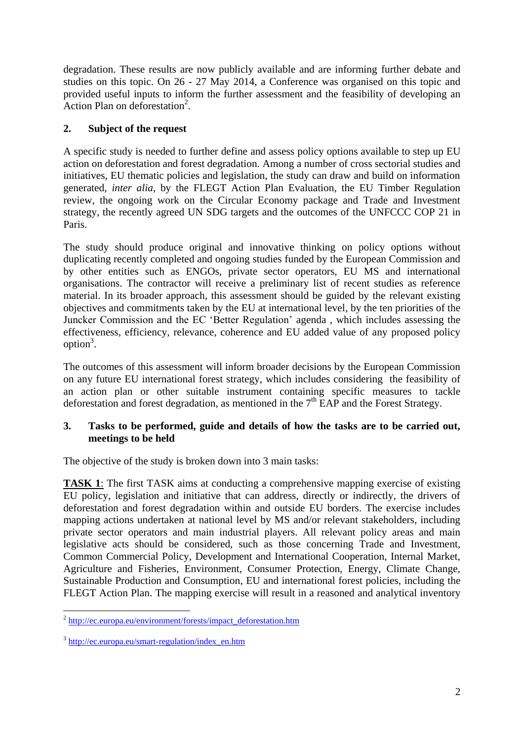degradation. These results are now publicly available and are informing further debate and studies on this topic. On 26 - 27 May 2014, a Conference was organised on this topic and provided useful inputs to inform the further assessment and the feasibility of developing an Action Plan on deforestation<sup>2</sup>.

## **2. Subject of the request**

A specific study is needed to further define and assess policy options available to step up EU action on deforestation and forest degradation. Among a number of cross sectorial studies and initiatives, EU thematic policies and legislation, the study can draw and build on information generated, *inter alia*, by the FLEGT Action Plan Evaluation, the EU Timber Regulation review, the ongoing work on the Circular Economy package and Trade and Investment strategy, the recently agreed UN SDG targets and the outcomes of the UNFCCC COP 21 in Paris.

The study should produce original and innovative thinking on policy options without duplicating recently completed and ongoing studies funded by the European Commission and by other entities such as ENGOs, private sector operators, EU MS and international organisations. The contractor will receive a preliminary list of recent studies as reference material. In its broader approach, this assessment should be guided by the relevant existing objectives and commitments taken by the EU at international level, by the ten priorities of the Juncker Commission and the EC 'Better Regulation' agenda , which includes assessing the effectiveness, efficiency, relevance, coherence and EU added value of any proposed policy  $option<sup>3</sup>$ .

The outcomes of this assessment will inform broader decisions by the European Commission on any future EU international forest strategy, which includes considering the feasibility of an action plan or other suitable instrument containing specific measures to tackle deforestation and forest degradation, as mentioned in the  $7<sup>th</sup>$  EAP and the Forest Strategy.

### **3. Tasks to be performed, guide and details of how the tasks are to be carried out, meetings to be held**

The objective of the study is broken down into 3 main tasks:

**TASK 1**: The first TASK aims at conducting a comprehensive mapping exercise of existing EU policy, legislation and initiative that can address, directly or indirectly, the drivers of deforestation and forest degradation within and outside EU borders. The exercise includes mapping actions undertaken at national level by MS and/or relevant stakeholders, including private sector operators and main industrial players. All relevant policy areas and main legislative acts should be considered, such as those concerning Trade and Investment, Common Commercial Policy, Development and International Cooperation, Internal Market, Agriculture and Fisheries, Environment, Consumer Protection, Energy, Climate Change, Sustainable Production and Consumption, EU and international forest policies, including the FLEGT Action Plan. The mapping exercise will result in a reasoned and analytical inventory

<sup>1</sup> <sup>2</sup> [http://ec.europa.eu/environment/forests/impact\\_deforestation.htm](http://ec.europa.eu/environment/forests/impact_deforestation.htm)

<sup>&</sup>lt;sup>3</sup> [http://ec.europa.eu/smart-regulation/index\\_en.htm](http://ec.europa.eu/smart-regulation/index_en.htm)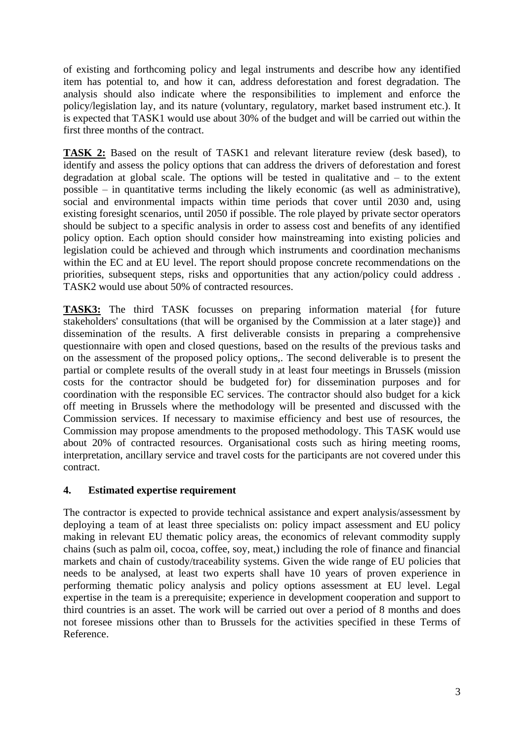of existing and forthcoming policy and legal instruments and describe how any identified item has potential to, and how it can, address deforestation and forest degradation. The analysis should also indicate where the responsibilities to implement and enforce the policy/legislation lay, and its nature (voluntary, regulatory, market based instrument etc.). It is expected that TASK1 would use about 30% of the budget and will be carried out within the first three months of the contract.

**TASK 2:** Based on the result of TASK1 and relevant literature review (desk based), to identify and assess the policy options that can address the drivers of deforestation and forest degradation at global scale. The options will be tested in qualitative and – to the extent possible – in quantitative terms including the likely economic (as well as administrative), social and environmental impacts within time periods that cover until 2030 and, using existing foresight scenarios, until 2050 if possible. The role played by private sector operators should be subject to a specific analysis in order to assess cost and benefits of any identified policy option. Each option should consider how mainstreaming into existing policies and legislation could be achieved and through which instruments and coordination mechanisms within the EC and at EU level. The report should propose concrete recommendations on the priorities, subsequent steps, risks and opportunities that any action/policy could address . TASK2 would use about 50% of contracted resources.

**TASK3:** The third TASK focusses on preparing information material {for future stakeholders' consultations (that will be organised by the Commission at a later stage)} and dissemination of the results. A first deliverable consists in preparing a comprehensive questionnaire with open and closed questions, based on the results of the previous tasks and on the assessment of the proposed policy options,. The second deliverable is to present the partial or complete results of the overall study in at least four meetings in Brussels (mission costs for the contractor should be budgeted for) for dissemination purposes and for coordination with the responsible EC services. The contractor should also budget for a kick off meeting in Brussels where the methodology will be presented and discussed with the Commission services. If necessary to maximise efficiency and best use of resources, the Commission may propose amendments to the proposed methodology. This TASK would use about 20% of contracted resources. Organisational costs such as hiring meeting rooms, interpretation, ancillary service and travel costs for the participants are not covered under this contract.

### **4. Estimated expertise requirement**

The contractor is expected to provide technical assistance and expert analysis/assessment by deploying a team of at least three specialists on: policy impact assessment and EU policy making in relevant EU thematic policy areas, the economics of relevant commodity supply chains (such as palm oil, cocoa, coffee, soy, meat,) including the role of finance and financial markets and chain of custody/traceability systems. Given the wide range of EU policies that needs to be analysed, at least two experts shall have 10 years of proven experience in performing thematic policy analysis and policy options assessment at EU level. Legal expertise in the team is a prerequisite; experience in development cooperation and support to third countries is an asset. The work will be carried out over a period of 8 months and does not foresee missions other than to Brussels for the activities specified in these Terms of Reference.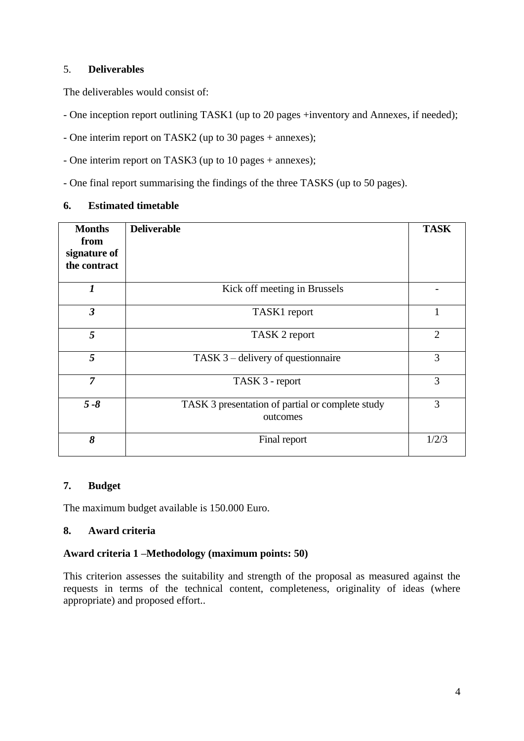#### 5. **Deliverables**

The deliverables would consist of:

- One inception report outlining TASK1 (up to 20 pages +inventory and Annexes, if needed);

- One interim report on TASK2 (up to 30 pages + annexes);

- One interim report on TASK3 (up to 10 pages + annexes);

- One final report summarising the findings of the three TASKS (up to 50 pages).

#### **6. Estimated timetable**

| <b>Months</b><br>from<br>signature of<br>the contract | <b>Deliverable</b>                                           | <b>TASK</b>    |
|-------------------------------------------------------|--------------------------------------------------------------|----------------|
| 1                                                     | Kick off meeting in Brussels                                 |                |
| $\overline{\mathbf{3}}$                               | TASK1 report                                                 | 1              |
| 5                                                     | TASK 2 report                                                | $\overline{2}$ |
| 5                                                     | TASK 3 – delivery of questionnaire                           | 3              |
| $\overline{7}$                                        | TASK 3 - report                                              | 3              |
| $5 - 8$                                               | TASK 3 presentation of partial or complete study<br>outcomes | 3              |
| 8                                                     | Final report                                                 | 1/2/3          |

### **7. Budget**

The maximum budget available is 150.000 Euro.

### **8. Award criteria**

### **Award criteria 1 –Methodology (maximum points: 50)**

This criterion assesses the suitability and strength of the proposal as measured against the requests in terms of the technical content, completeness, originality of ideas (where appropriate) and proposed effort..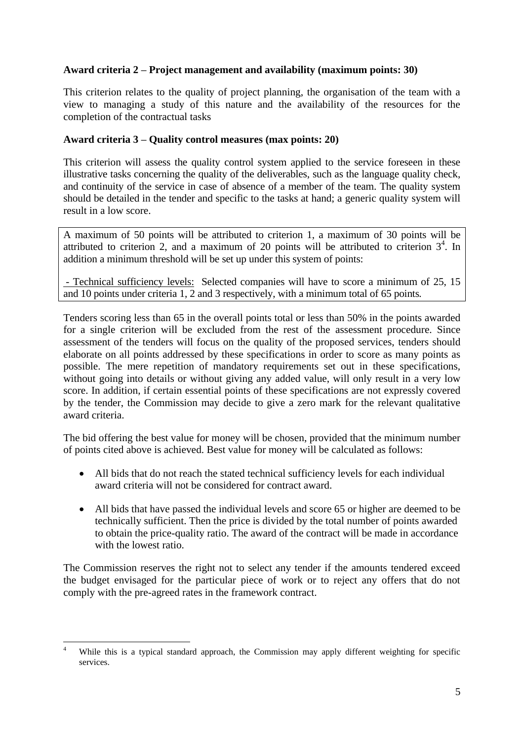### **Award criteria 2 – Project management and availability (maximum points: 30)**

This criterion relates to the quality of project planning, the organisation of the team with a view to managing a study of this nature and the availability of the resources for the completion of the contractual tasks

### **Award criteria 3 – Quality control measures (max points: 20)**

This criterion will assess the quality control system applied to the service foreseen in these illustrative tasks concerning the quality of the deliverables, such as the language quality check, and continuity of the service in case of absence of a member of the team. The quality system should be detailed in the tender and specific to the tasks at hand; a generic quality system will result in a low score.

A maximum of 50 points will be attributed to criterion 1, a maximum of 30 points will be attributed to criterion 2, and a maximum of 20 points will be attributed to criterion  $3<sup>4</sup>$ . In addition a minimum threshold will be set up under this system of points:

- Technical sufficiency levels: Selected companies will have to score a minimum of 25, 15 and 10 points under criteria 1, 2 and 3 respectively, with a minimum total of 65 points*.*

Tenders scoring less than 65 in the overall points total or less than 50% in the points awarded for a single criterion will be excluded from the rest of the assessment procedure. Since assessment of the tenders will focus on the quality of the proposed services, tenders should elaborate on all points addressed by these specifications in order to score as many points as possible. The mere repetition of mandatory requirements set out in these specifications, without going into details or without giving any added value, will only result in a very low score. In addition, if certain essential points of these specifications are not expressly covered by the tender, the Commission may decide to give a zero mark for the relevant qualitative award criteria.

The bid offering the best value for money will be chosen, provided that the minimum number of points cited above is achieved. Best value for money will be calculated as follows:

- All bids that do not reach the stated technical sufficiency levels for each individual award criteria will not be considered for contract award.
- All bids that have passed the individual levels and score 65 or higher are deemed to be technically sufficient. Then the price is divided by the total number of points awarded to obtain the price-quality ratio. The award of the contract will be made in accordance with the lowest ratio.

The Commission reserves the right not to select any tender if the amounts tendered exceed the budget envisaged for the particular piece of work or to reject any offers that do not comply with the pre-agreed rates in the framework contract.

 $\overline{4}$ While this is a typical standard approach, the Commission may apply different weighting for specific services.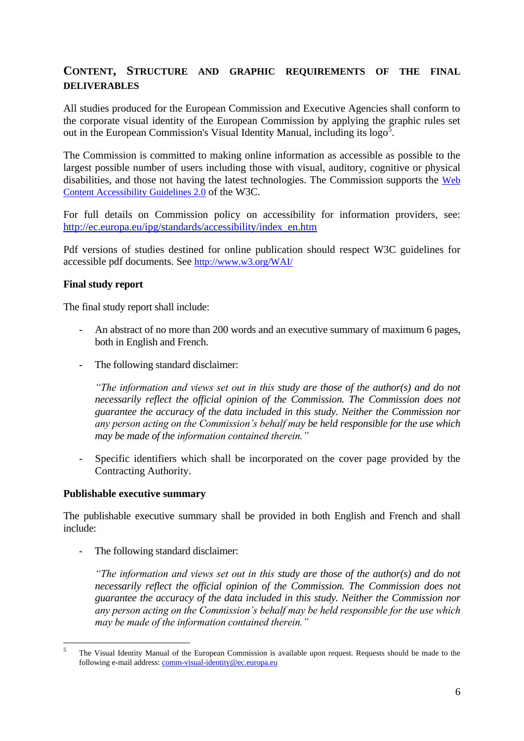# **CONTENT, STRUCTURE AND GRAPHIC REQUIREMENTS OF THE FINAL DELIVERABLES**

All studies produced for the European Commission and Executive Agencies shall conform to the corporate visual identity of the European Commission by applying the graphic rules set out in the European Commission's Visual Identity Manual, including its logo<sup>5</sup>.

The Commission is committed to making online information as accessible as possible to the largest possible number of users including those with visual, auditory, cognitive or physical disabilities, and those not having the latest technologies. The Commission supports the [Web](http://www.w3.org/TR/WCAG20/)  [Content Accessibility Guidelines 2.0](http://www.w3.org/TR/WCAG20/) of the W3C.

For full details on Commission policy on accessibility for information providers, see: [http://ec.europa.eu/ipg/standards/accessibility/index\\_en.htm](http://ec.europa.eu/ipg/standards/accessibility/index_en.htm)

Pdf versions of studies destined for online publication should respect W3C guidelines for accessible pdf documents. See <http://www.w3.org/WAI/>

#### **Final study report**

The final study report shall include:

- An abstract of no more than 200 words and an executive summary of maximum 6 pages, both in English and French.
- The following standard disclaimer:

*"The information and views set out in this study are those of the author(s) and do not necessarily reflect the official opinion of the Commission. The Commission does not guarantee the accuracy of the data included in this study. Neither the Commission nor any person acting on the Commission's behalf may be held responsible for the use which may be made of the information contained therein."*

- Specific identifiers which shall be incorporated on the cover page provided by the Contracting Authority.

#### **Publishable executive summary**

The publishable executive summary shall be provided in both English and French and shall include:

The following standard disclaimer:

*"The information and views set out in this study are those of the author(s) and do not necessarily reflect the official opinion of the Commission. The Commission does not guarantee the accuracy of the data included in this study. Neither the Commission nor any person acting on the Commission's behalf may be held responsible for the use which may be made of the information contained therein."* 

 $\frac{1}{5}$ The Visual Identity Manual of the European Commission is available upon request. Requests should be made to the following e-mail address: [comm-visual-identity@ec.europa.eu](mailto:comm-visual-identity@ec.europa.eu)